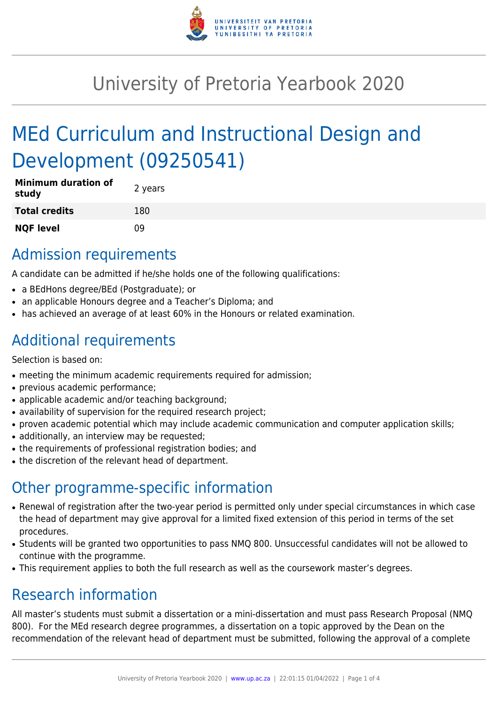

# University of Pretoria Yearbook 2020

# MEd Curriculum and Instructional Design and Development (09250541)

| <b>Minimum duration of</b><br>study | 2 years |
|-------------------------------------|---------|
| <b>Total credits</b>                | 180     |
| <b>NQF level</b>                    | n۹      |

### Admission requirements

A candidate can be admitted if he/she holds one of the following qualifications:

- a BEdHons degree/BEd (Postgraduate); or
- an applicable Honours degree and a Teacher's Diploma; and
- has achieved an average of at least 60% in the Honours or related examination.

## Additional requirements

Selection is based on:

- meeting the minimum academic requirements required for admission;
- previous academic performance;
- applicable academic and/or teaching background;
- availability of supervision for the required research project;
- proven academic potential which may include academic communication and computer application skills;
- additionally, an interview may be requested;
- the requirements of professional registration bodies; and
- the discretion of the relevant head of department.

# Other programme-specific information

- Renewal of registration after the two-year period is permitted only under special circumstances in which case the head of department may give approval for a limited fixed extension of this period in terms of the set procedures.
- Students will be granted two opportunities to pass NMQ 800. Unsuccessful candidates will not be allowed to continue with the programme.
- This requirement applies to both the full research as well as the coursework master's degrees.

# Research information

All master's students must submit a dissertation or a mini-dissertation and must pass Research Proposal (NMQ 800). For the MEd research degree programmes, a dissertation on a topic approved by the Dean on the recommendation of the relevant head of department must be submitted, following the approval of a complete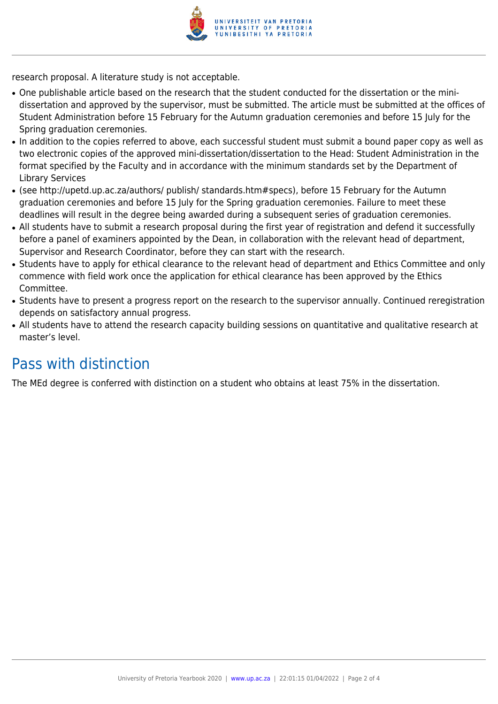

research proposal. A literature study is not acceptable.

- One publishable article based on the research that the student conducted for the dissertation or the minidissertation and approved by the supervisor, must be submitted. The article must be submitted at the offices of Student Administration before 15 February for the Autumn graduation ceremonies and before 15 July for the Spring graduation ceremonies.
- In addition to the copies referred to above, each successful student must submit a bound paper copy as well as two electronic copies of the approved mini-dissertation/dissertation to the Head: Student Administration in the format specified by the Faculty and in accordance with the minimum standards set by the Department of Library Services
- (see http://upetd.up.ac.za/authors/ publish/ standards.htm#specs), before 15 February for the Autumn graduation ceremonies and before 15 July for the Spring graduation ceremonies. Failure to meet these deadlines will result in the degree being awarded during a subsequent series of graduation ceremonies.
- All students have to submit a research proposal during the first year of registration and defend it successfully before a panel of examiners appointed by the Dean, in collaboration with the relevant head of department, Supervisor and Research Coordinator, before they can start with the research.
- Students have to apply for ethical clearance to the relevant head of department and Ethics Committee and only commence with field work once the application for ethical clearance has been approved by the Ethics Committee.
- Students have to present a progress report on the research to the supervisor annually. Continued reregistration depends on satisfactory annual progress.
- All students have to attend the research capacity building sessions on quantitative and qualitative research at master's level.

### Pass with distinction

The MEd degree is conferred with distinction on a student who obtains at least 75% in the dissertation.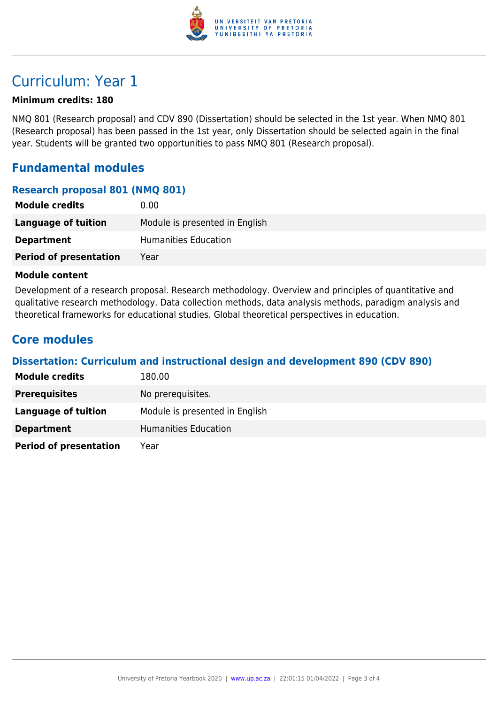

## Curriculum: Year 1

#### **Minimum credits: 180**

NMQ 801 (Research proposal) and CDV 890 (Dissertation) should be selected in the 1st year. When NMQ 801 (Research proposal) has been passed in the 1st year, only Dissertation should be selected again in the final year. Students will be granted two opportunities to pass NMQ 801 (Research proposal).

#### **Fundamental modules**

#### **Research proposal 801 (NMQ 801)**

| <b>Module credits</b>         | 0.00                           |
|-------------------------------|--------------------------------|
| Language of tuition           | Module is presented in English |
| <b>Department</b>             | <b>Humanities Education</b>    |
| <b>Period of presentation</b> | Year                           |

#### **Module content**

Development of a research proposal. Research methodology. Overview and principles of quantitative and qualitative research methodology. Data collection methods, data analysis methods, paradigm analysis and theoretical frameworks for educational studies. Global theoretical perspectives in education.

#### **Core modules**

#### **Dissertation: Curriculum and instructional design and development 890 (CDV 890)**

| <b>Module credits</b>         | 180.00                         |
|-------------------------------|--------------------------------|
| <b>Prerequisites</b>          | No prerequisites.              |
| Language of tuition           | Module is presented in English |
| <b>Department</b>             | Humanities Education           |
| <b>Period of presentation</b> | Year                           |